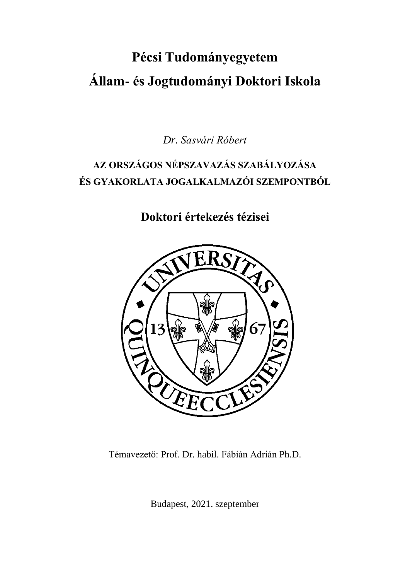# **Pécsi Tudományegyetem Állam- és Jogtudományi Doktori Iskola**

*Dr. Sasvári Róbert*

# **AZ ORSZÁGOS NÉPSZAVAZÁS SZABÁLYOZÁSA ÉS GYAKORLATA JOGALKALMAZÓI SZEMPONTBÓL**

**Doktori értekezés tézisei**



Témavezető: Prof. Dr. habil. Fábián Adrián Ph.D.

Budapest, 2021. szeptember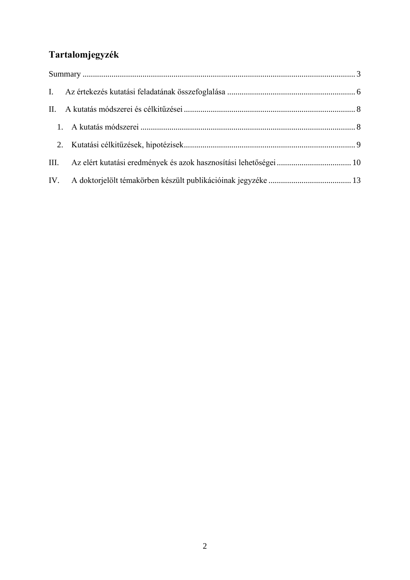# **Tartalomjegyzék**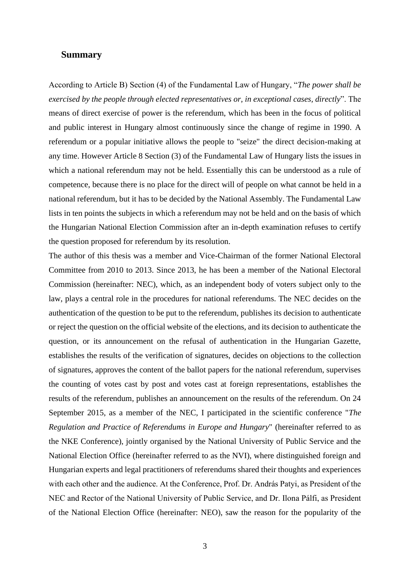#### <span id="page-2-0"></span>**Summary**

According to Article B) Section (4) of the Fundamental Law of Hungary, "*The power shall be exercised by the people through elected representatives or, in exceptional cases, directly*". The means of direct exercise of power is the referendum, which has been in the focus of political and public interest in Hungary almost continuously since the change of regime in 1990. A referendum or a popular initiative allows the people to "seize" the direct decision-making at any time. However Article 8 Section (3) of the Fundamental Law of Hungary lists the issues in which a national referendum may not be held. Essentially this can be understood as a rule of competence, because there is no place for the direct will of people on what cannot be held in a national referendum, but it has to be decided by the National Assembly. The Fundamental Law lists in ten points the subjects in which a referendum may not be held and on the basis of which the Hungarian National Election Commission after an in-depth examination refuses to certify the question proposed for referendum by its resolution.

The author of this thesis was a member and Vice-Chairman of the former National Electoral Committee from 2010 to 2013. Since 2013, he has been a member of the National Electoral Commission (hereinafter: NEC), which, as an independent body of voters subject only to the law, plays a central role in the procedures for national referendums. The NEC decides on the authentication of the question to be put to the referendum, publishes its decision to authenticate or reject the question on the official website of the elections, and its decision to authenticate the question, or its announcement on the refusal of authentication in the Hungarian Gazette, establishes the results of the verification of signatures, decides on objections to the collection of signatures, approves the content of the ballot papers for the national referendum, supervises the counting of votes cast by post and votes cast at foreign representations, establishes the results of the referendum, publishes an announcement on the results of the referendum. On 24 September 2015, as a member of the NEC, I participated in the scientific conference "*The Regulation and Practice of Referendums in Europe and Hungary*" (hereinafter referred to as the NKE Conference), jointly organised by the National University of Public Service and the National Election Office (hereinafter referred to as the NVI), where distinguished foreign and Hungarian experts and legal practitioners of referendums shared their thoughts and experiences with each other and the audience. At the Conference, Prof. Dr. András Patyi, as President of the NEC and Rector of the National University of Public Service, and Dr. Ilona Pálfi, as President of the National Election Office (hereinafter: NEO), saw the reason for the popularity of the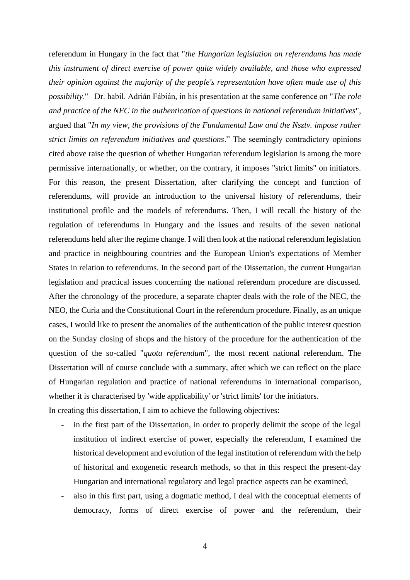referendum in Hungary in the fact that "*the Hungarian legislation on referendums has made this instrument of direct exercise of power quite widely available, and those who expressed their opinion against the majority of the people's representation have often made use of this possibility*." Dr. habil. Adrián Fábián, in his presentation at the same conference on "*The role and practice of the NEC in the authentication of questions in national referendum initiatives*", argued that "*In my view, the provisions of the Fundamental Law and the Nsztv. impose rather strict limits on referendum initiatives and questions*." The seemingly contradictory opinions cited above raise the question of whether Hungarian referendum legislation is among the more permissive internationally, or whether, on the contrary, it imposes "strict limits" on initiators. For this reason, the present Dissertation, after clarifying the concept and function of referendums, will provide an introduction to the universal history of referendums, their institutional profile and the models of referendums. Then, I will recall the history of the regulation of referendums in Hungary and the issues and results of the seven national referendums held after the regime change. I will then look at the national referendum legislation and practice in neighbouring countries and the European Union's expectations of Member States in relation to referendums. In the second part of the Dissertation, the current Hungarian legislation and practical issues concerning the national referendum procedure are discussed. After the chronology of the procedure, a separate chapter deals with the role of the NEC, the NEO, the Curia and the Constitutional Court in the referendum procedure. Finally, as an unique cases, I would like to present the anomalies of the authentication of the public interest question on the Sunday closing of shops and the history of the procedure for the authentication of the question of the so-called "*quota referendum*", the most recent national referendum. The Dissertation will of course conclude with a summary, after which we can reflect on the place of Hungarian regulation and practice of national referendums in international comparison, whether it is characterised by 'wide applicability' or 'strict limits' for the initiators. In creating this dissertation, I aim to achieve the following objectives:

- in the first part of the Dissertation, in order to properly delimit the scope of the legal institution of indirect exercise of power, especially the referendum, I examined the historical development and evolution of the legal institution of referendum with the help of historical and exogenetic research methods, so that in this respect the present-day Hungarian and international regulatory and legal practice aspects can be examined,
- also in this first part, using a dogmatic method, I deal with the conceptual elements of democracy, forms of direct exercise of power and the referendum, their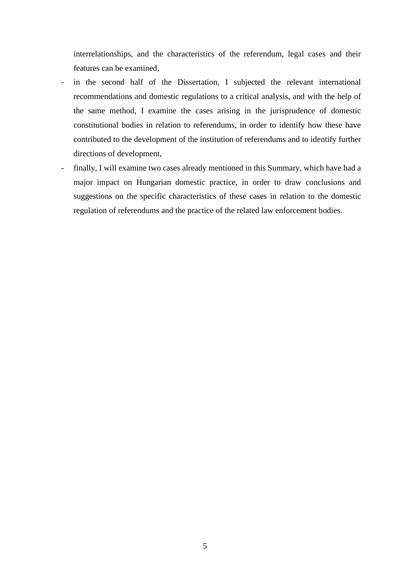interrelationships, and the characteristics of the referendum, legal cases and their features can be examined,

- in the second half of the Dissertation, I subjected the relevant international recommendations and domestic regulations to a critical analysis, and with the help of the same method, I examine the cases arising in the jurisprudence of domestic constitutional bodies in relation to referendums, in order to identify how these have contributed to the development of the institution of referendums and to identify further directions of development,
- finally, I will examine two cases already mentioned in this Summary, which have had a major impact on Hungarian domestic practice, in order to draw conclusions and suggestions on the specific characteristics of these cases in relation to the domestic regulation of referendums and the practice of the related law enforcement bodies.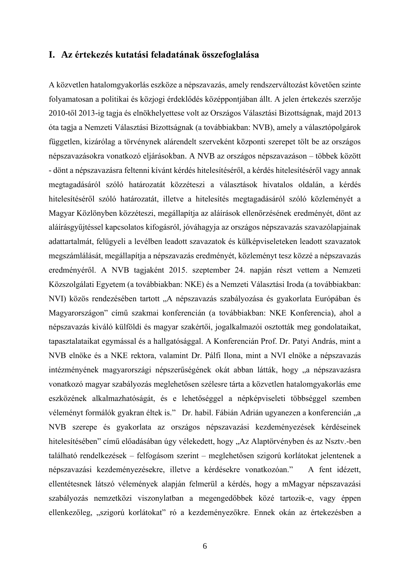### <span id="page-5-0"></span>**I. Az értekezés kutatási feladatának összefoglalása**

A közvetlen hatalomgyakorlás eszköze a népszavazás, amely rendszerváltozást követően szinte folyamatosan a politikai és közjogi érdeklődés középpontjában állt. A jelen értekezés szerzője 2010-től 2013-ig tagja és elnökhelyettese volt az Országos Választási Bizottságnak, majd 2013 óta tagja a Nemzeti Választási Bizottságnak (a továbbiakban: NVB), amely a választópolgárok független, kizárólag a törvénynek alárendelt szerveként központi szerepet tölt be az országos népszavazásokra vonatkozó eljárásokban. A NVB az országos népszavazáson – többek között - dönt a népszavazásra feltenni kívánt kérdés hitelesítéséről, a kérdés hitelesítéséről vagy annak megtagadásáról szóló határozatát közzéteszi a választások hivatalos oldalán, a kérdés hitelesítéséről szóló határozatát, illetve a hitelesítés megtagadásáról szóló közleményét a Magyar Közlönyben közzéteszi, megállapítja az aláírások ellenőrzésének eredményét, dönt az aláírásgyűjtéssel kapcsolatos kifogásról, jóváhagyja az országos népszavazás szavazólapjainak adattartalmát, felügyeli a levélben leadott szavazatok és külképviseleteken leadott szavazatok megszámlálását, megállapítja a népszavazás eredményét, közleményt tesz közzé a népszavazás eredményéről. A NVB tagjaként 2015. szeptember 24. napján részt vettem a Nemzeti Közszolgálati Egyetem (a továbbiakban: NKE) és a Nemzeti Választási Iroda (a továbbiakban: NVI) közös rendezésében tartott "A népszavazás szabályozása és gyakorlata Európában és Magyarországon" című szakmai konferencián (a továbbiakban: NKE Konferencia), ahol a népszavazás kiváló külföldi és magyar szakértői, jogalkalmazói osztották meg gondolataikat, tapasztalataikat egymással és a hallgatósággal. A Konferencián Prof. Dr. Patyi András, mint a NVB elnöke és a NKE rektora, valamint Dr. Pálfi Ilona, mint a NVI elnöke a népszavazás intézményének magyarországi népszerűségének okát abban látták, hogy "a népszavazásra vonatkozó magyar szabályozás meglehetősen szélesre tárta a közvetlen hatalomgyakorlás eme eszközének alkalmazhatóságát, és e lehetőséggel a népképviseleti többséggel szemben véleményt formálók gyakran éltek is." Dr. habil. Fábián Adrián ugyanezen a konferencián "a NVB szerepe és gyakorlata az országos népszavazási kezdeményezések kérdéseinek hitelesítésében" című előadásában úgy vélekedett, hogy "Az Alaptörvényben és az Nsztv.-ben található rendelkezések – felfogásom szerint – meglehetősen szigorú korlátokat jelentenek a népszavazási kezdeményezésekre, illetve a kérdésekre vonatkozóan." A fent idézett, ellentétesnek látszó vélemények alapján felmerül a kérdés, hogy a mMagyar népszavazási szabályozás nemzetközi viszonylatban a megengedőbbek közé tartozik-e, vagy éppen ellenkezőleg, "szigorú korlátokat" ró a kezdeményezőkre. Ennek okán az értekezésben a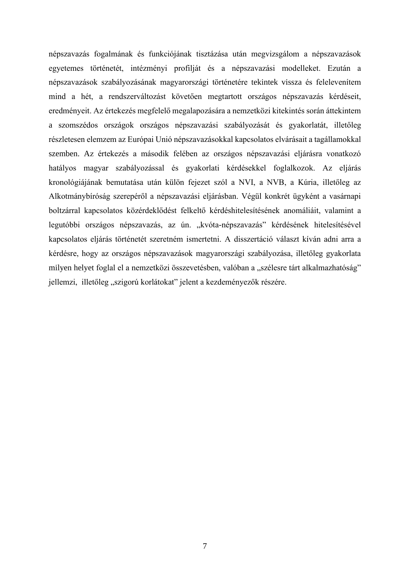népszavazás fogalmának és funkciójának tisztázása után megvizsgálom a népszavazások egyetemes történetét, intézményi profilját és a népszavazási modelleket. Ezután a népszavazások szabályozásának magyarországi történetére tekintek vissza és felelevenítem mind a hét, a rendszerváltozást követően megtartott országos népszavazás kérdéseit, eredményeit. Az értekezés megfelelő megalapozására a nemzetközi kitekintés során áttekintem a szomszédos országok országos népszavazási szabályozását és gyakorlatát, illetőleg részletesen elemzem az Európai Unió népszavazásokkal kapcsolatos elvárásait a tagállamokkal szemben. Az értekezés a második felében az országos népszavazási eljárásra vonatkozó hatályos magyar szabályozással és gyakorlati kérdésekkel foglalkozok. Az eljárás kronológiájának bemutatása után külön fejezet szól a NVI, a NVB, a Kúria, illetőleg az Alkotmánybíróság szerepéről a népszavazási eljárásban. Végül konkrét ügyként a vasárnapi boltzárral kapcsolatos közérdeklődést felkeltő kérdéshitelesítésének anomáliáit, valamint a legutóbbi országos népszavazás, az ún. "kvóta-népszavazás" kérdésének hitelesítésével kapcsolatos eljárás történetét szeretném ismertetni. A disszertáció választ kíván adni arra a kérdésre, hogy az országos népszavazások magyarországi szabályozása, illetőleg gyakorlata milyen helyet foglal el a nemzetközi összevetésben, valóban a "szélesre tárt alkalmazhatóság" jellemzi, illetőleg "szigorú korlátokat" jelent a kezdeményezők részére.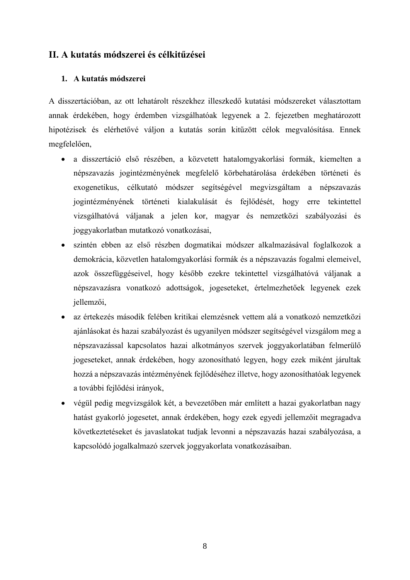# <span id="page-7-1"></span><span id="page-7-0"></span>**II. A kutatás módszerei és célkitűzései**

### **1. A kutatás módszerei**

A disszertációban, az ott lehatárolt részekhez illeszkedő kutatási módszereket választottam annak érdekében, hogy érdemben vizsgálhatóak legyenek a 2. fejezetben meghatározott hipotézisek és elérhetővé váljon a kutatás során kitűzött célok megvalósítása. Ennek megfelelően,

- a disszertáció első részében, a közvetett hatalomgyakorlási formák, kiemelten a népszavazás jogintézményének megfelelő körbehatárolása érdekében történeti és exogenetikus, célkutató módszer segítségével megvizsgáltam a népszavazás jogintézményének történeti kialakulását és fejlődését, hogy erre tekintettel vizsgálhatóvá váljanak a jelen kor, magyar és nemzetközi szabályozási és joggyakorlatban mutatkozó vonatkozásai,
- szintén ebben az első részben dogmatikai módszer alkalmazásával foglalkozok a demokrácia, közvetlen hatalomgyakorlási formák és a népszavazás fogalmi elemeivel, azok összefüggéseivel, hogy később ezekre tekintettel vizsgálhatóvá váljanak a népszavazásra vonatkozó adottságok, jogeseteket, értelmezhetőek legyenek ezek jellemzői,
- az értekezés második felében kritikai elemzésnek vettem alá a vonatkozó nemzetközi ajánlásokat és hazai szabályozást és ugyanilyen módszer segítségével vizsgálom meg a népszavazással kapcsolatos hazai alkotmányos szervek joggyakorlatában felmerülő jogeseteket, annak érdekében, hogy azonosítható legyen, hogy ezek miként járultak hozzá a népszavazás intézményének fejlődéséhez illetve, hogy azonosíthatóak legyenek a további fejlődési irányok,
- végül pedig megvizsgálok két, a bevezetőben már említett a hazai gyakorlatban nagy hatást gyakorló jogesetet, annak érdekében, hogy ezek egyedi jellemzőit megragadva következtetéseket és javaslatokat tudjak levonni a népszavazás hazai szabályozása, a kapcsolódó jogalkalmazó szervek joggyakorlata vonatkozásaiban.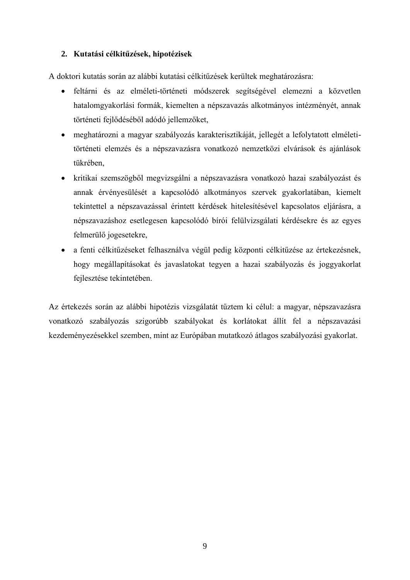# <span id="page-8-0"></span>**2. Kutatási célkitűzések, hipotézisek**

A doktori kutatás során az alábbi kutatási célkitűzések kerültek meghatározásra:

- feltárni és az elméleti-történeti módszerek segítségével elemezni a közvetlen hatalomgyakorlási formák, kiemelten a népszavazás alkotmányos intézményét, annak történeti fejlődéséből adódó jellemzőket,
- meghatározni a magyar szabályozás karakterisztikáját, jellegét a lefolytatott elméletitörténeti elemzés és a népszavazásra vonatkozó nemzetközi elvárások és ajánlások tükrében,
- kritikai szemszögből megvizsgálni a népszavazásra vonatkozó hazai szabályozást és annak érvényesülését a kapcsolódó alkotmányos szervek gyakorlatában, kiemelt tekintettel a népszavazással érintett kérdések hitelesítésével kapcsolatos eljárásra, a népszavazáshoz esetlegesen kapcsolódó bírói felülvizsgálati kérdésekre és az egyes felmerülő jogesetekre,
- a fenti célkitűzéseket felhasználva végül pedig központi célkitűzése az értekezésnek, hogy megállapításokat és javaslatokat tegyen a hazai szabályozás és joggyakorlat fejlesztése tekintetében.

Az értekezés során az alábbi hipotézis vizsgálatát tűztem ki célul: a magyar, népszavazásra vonatkozó szabályozás szigorúbb szabályokat és korlátokat állít fel a népszavazási kezdeményezésekkel szemben, mint az Európában mutatkozó átlagos szabályozási gyakorlat.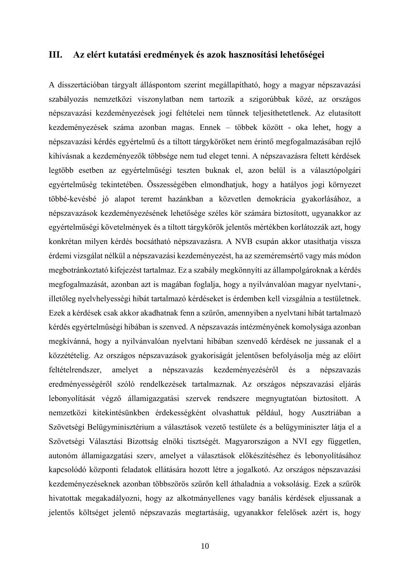## <span id="page-9-0"></span>**III. Az elért kutatási eredmények és azok hasznosítási lehetőségei**

A disszertációban tárgyalt álláspontom szerint megállapítható, hogy a magyar népszavazási szabályozás nemzetközi viszonylatban nem tartozik a szigorúbbak közé, az országos népszavazási kezdeményezések jogi feltételei nem tűnnek teljesíthetetlenek. Az elutasított kezdeményezések száma azonban magas. Ennek – többek között - oka lehet, hogy a népszavazási kérdés egyértelmű és a tiltott tárgyköröket nem érintő megfogalmazásában rejlő kihívásnak a kezdeményezők többsége nem tud eleget tenni. A népszavazásra feltett kérdések legtöbb esetben az egyértelműségi teszten buknak el, azon belül is a választópolgári egyértelműség tekintetében. Összességében elmondhatjuk, hogy a hatályos jogi környezet többé-kevésbé jó alapot teremt hazánkban a közvetlen demokrácia gyakorlásához, a népszavazások kezdeményezésének lehetősége széles kör számára biztosított, ugyanakkor az egyértelműségi követelmények és a tiltott tárgykörök jelentős mértékben korlátozzák azt, hogy konkrétan milyen kérdés bocsátható népszavazásra. A NVB csupán akkor utasíthatja vissza érdemi vizsgálat nélkül a népszavazási kezdeményezést, ha az szeméremsértő vagy más módon megbotránkoztató kifejezést tartalmaz. Ez a szabály megkönnyíti az állampolgároknak a kérdés megfogalmazását, azonban azt is magában foglalja, hogy a nyilvánvalóan magyar nyelvtani-, illetőleg nyelvhelyességi hibát tartalmazó kérdéseket is érdemben kell vizsgálnia a testületnek. Ezek a kérdések csak akkor akadhatnak fenn a szűrőn, amennyiben a nyelvtani hibát tartalmazó kérdés egyértelműségi hibában is szenved. A népszavazás intézményének komolysága azonban megkívánná, hogy a nyilvánvalóan nyelvtani hibában szenvedő kérdések ne jussanak el a közzétételig. Az országos népszavazások gyakoriságát jelentősen befolyásolja még az előírt feltételrendszer, amelyet a népszavazás kezdeményezéséről és a népszavazás eredményességéről szóló rendelkezések tartalmaznak. Az országos népszavazási eljárás lebonyolítását végző államigazgatási szervek rendszere megnyugtatóan biztosított. A nemzetközi kitekintésünkben érdekességként olvashattuk például, hogy Ausztriában a Szövetségi Belügyminisztérium a választások vezető testülete és a belügyminiszter látja el a Szövetségi Választási Bizottság elnöki tisztségét. Magyarországon a NVI egy független, autonóm államigazgatási szerv, amelyet a választások előkészítéséhez és lebonyolításához kapcsolódó központi feladatok ellátására hozott létre a jogalkotó. Az országos népszavazási kezdeményezéseknek azonban többszörös szűrőn kell áthaladnia a voksolásig. Ezek a szűrők hivatottak megakadályozni, hogy az alkotmányellenes vagy banális kérdések eljussanak a jelentős költséget jelentő népszavazás megtartásáig, ugyanakkor felelősek azért is, hogy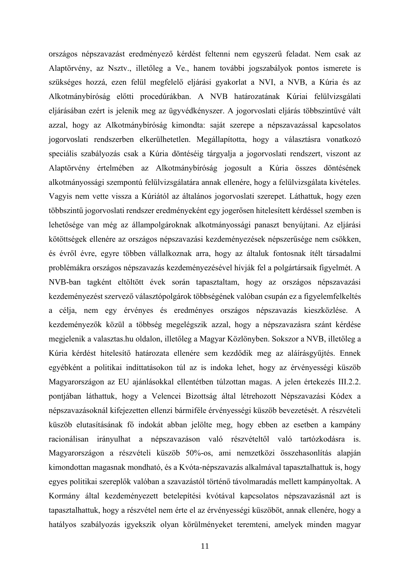országos népszavazást eredményező kérdést feltenni nem egyszerű feladat. Nem csak az Alaptörvény, az Nsztv., illetőleg a Ve., hanem további jogszabályok pontos ismerete is szükséges hozzá, ezen felül megfelelő eljárási gyakorlat a NVI, a NVB, a Kúria és az Alkotmánybíróság előtti procedúrákban. A NVB határozatának Kúriai felülvizsgálati eljárásában ezért is jelenik meg az ügyvédkényszer. A jogorvoslati eljárás többszintűvé vált azzal, hogy az Alkotmánybíróság kimondta: saját szerepe a népszavazással kapcsolatos jogorvoslati rendszerben elkerülhetetlen. Megállapította, hogy a választásra vonatkozó speciális szabályozás csak a Kúria döntéséig tárgyalja a jogorvoslati rendszert, viszont az Alaptörvény értelmében az Alkotmánybíróság jogosult a Kúria összes döntésének alkotmányossági szempontú felülvizsgálatára annak ellenére, hogy a felülvizsgálata kivételes. Vagyis nem vette vissza a Kúriától az általános jogorvoslati szerepet. Láthattuk, hogy ezen többszintű jogorvoslati rendszer eredményeként egy jogerősen hitelesített kérdéssel szemben is lehetősége van még az állampolgároknak alkotmányossági panaszt benyújtani. Az eljárási kötöttségek ellenére az országos népszavazási kezdeményezések népszerűsége nem csökken, és évről évre, egyre többen vállalkoznak arra, hogy az általuk fontosnak ítélt társadalmi problémákra országos népszavazás kezdeményezésével hívják fel a polgártársaik figyelmét. A NVB-ban tagként eltöltött évek során tapasztaltam, hogy az országos népszavazási kezdeményezést szervező választópolgárok többségének valóban csupán ez a figyelemfelkeltés a célja, nem egy érvényes és eredményes országos népszavazás kieszközlése. A kezdeményezők közül a többség megelégszik azzal, hogy a népszavazásra szánt kérdése megjelenik a valasztas.hu oldalon, illetőleg a Magyar Közlönyben. Sokszor a NVB, illetőleg a Kúria kérdést hitelesítő határozata ellenére sem kezdődik meg az aláírásgyűjtés. Ennek egyébként a politikai indíttatásokon túl az is indoka lehet, hogy az érvényességi küszöb Magyarországon az EU ajánlásokkal ellentétben túlzottan magas. A jelen értekezés III.2.2. pontjában láthattuk, hogy a Velencei Bizottság által létrehozott Népszavazási Kódex a népszavazásoknál kifejezetten ellenzi bármiféle érvényességi küszöb bevezetését. A részvételi küszöb elutasításának fő indokát abban jelölte meg, hogy ebben az esetben a kampány racionálisan irányulhat a népszavazáson való részvételtől való tartózkodásra is. Magyarországon a részvételi küszöb 50%-os, ami nemzetközi összehasonlítás alapján kimondottan magasnak mondható, és a Kvóta-népszavazás alkalmával tapasztalhattuk is, hogy egyes politikai szereplők valóban a szavazástól történő távolmaradás mellett kampányoltak. A Kormány által kezdeményezett betelepítési kvótával kapcsolatos népszavazásnál azt is tapasztalhattuk, hogy a részvétel nem érte el az érvényességi küszöböt, annak ellenére, hogy a hatályos szabályozás igyekszik olyan körülményeket teremteni, amelyek minden magyar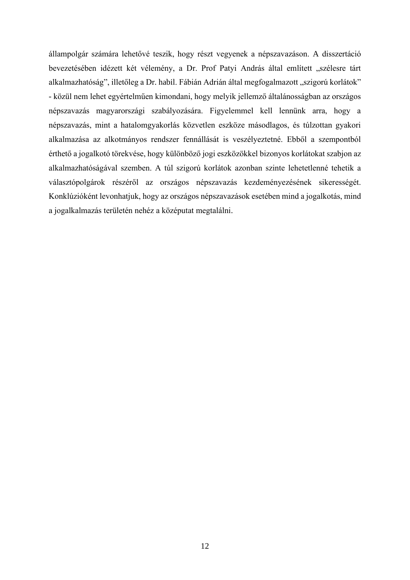állampolgár számára lehetővé teszik, hogy részt vegyenek a népszavazáson. A disszertáció bevezetésében idézett két vélemény, a Dr. Prof Patyi András által említett "szélesre tárt alkalmazhatóság", illetőleg a Dr. habil. Fábián Adrián által megfogalmazott "szigorú korlátok" - közül nem lehet egyértelműen kimondani, hogy melyik jellemző általánosságban az országos népszavazás magyarországi szabályozására. Figyelemmel kell lennünk arra, hogy a népszavazás, mint a hatalomgyakorlás közvetlen eszköze másodlagos, és túlzottan gyakori alkalmazása az alkotmányos rendszer fennállását is veszélyeztetné. Ebből a szempontból érthető a jogalkotó törekvése, hogy különböző jogi eszközökkel bizonyos korlátokat szabjon az alkalmazhatóságával szemben. A túl szigorú korlátok azonban szinte lehetetlenné tehetik a választópolgárok részéről az országos népszavazás kezdeményezésének sikerességét. Konklúzióként levonhatjuk, hogy az országos népszavazások esetében mind a jogalkotás, mind a jogalkalmazás területén nehéz a középutat megtalálni.